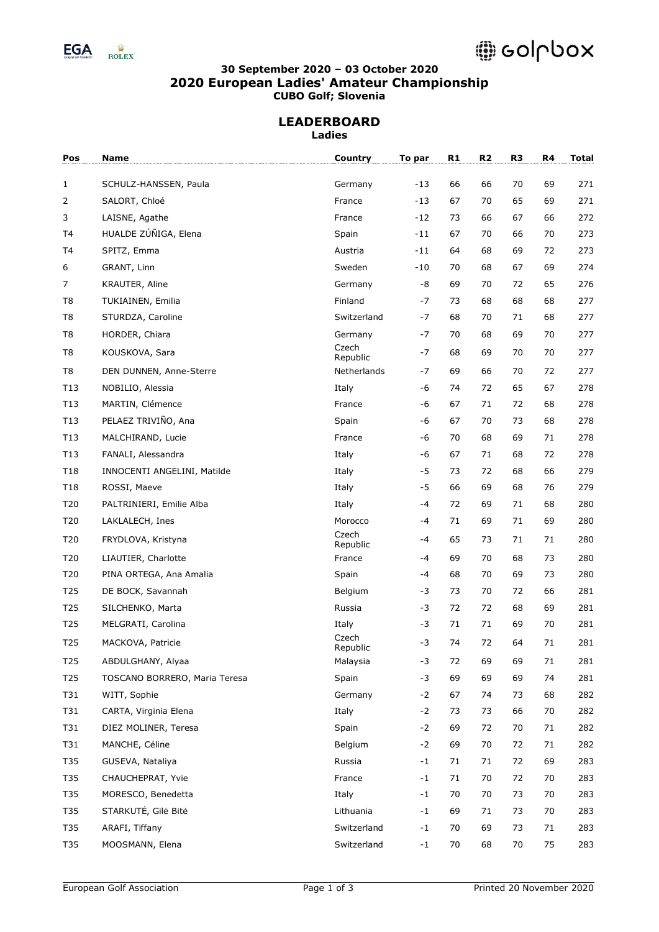

# @ colpbox

## **30 September 2020 – 03 October 2020 2020 European Ladies' Amateur Championship CUBO Golf; Slovenia**

#### **LEADERBOARD Ladies**

| Pos             | Name                          | <b>Country</b>    | To par | R1 | R <sub>2</sub> | R <sub>3</sub> | R4 | <b>Total</b> |
|-----------------|-------------------------------|-------------------|--------|----|----------------|----------------|----|--------------|
| $\mathbf{1}$    | SCHULZ-HANSSEN, Paula         | Germany           | $-13$  | 66 | 66             | 70             | 69 | 271          |
| 2               | SALORT, Chloé                 | France            | -13    | 67 | 70             | 65             | 69 | 271          |
| 3               | LAISNE, Agathe                | France            | -12    | 73 | 66             | 67             | 66 | 272          |
| T4              | HUALDE ZÚÑIGA, Elena          | Spain             | -11    | 67 | 70             | 66             | 70 | 273          |
| T4              | SPITZ, Emma                   | Austria           | -11    | 64 | 68             | 69             | 72 | 273          |
| 6               | GRANT, Linn                   | Sweden            | -10    | 70 | 68             | 67             | 69 | 274          |
| $\overline{7}$  | KRAUTER, Aline                | Germany           | -8     | 69 | 70             | 72             | 65 | 276          |
| T <sub>8</sub>  | TUKIAINEN, Emilia             | Finland           | -7     | 73 | 68             | 68             | 68 | 277          |
| T <sub>8</sub>  | STURDZA, Caroline             | Switzerland       | -7     | 68 | 70             | 71             | 68 | 277          |
| T <sub>8</sub>  | HORDER, Chiara                | Germany           | -7     | 70 | 68             | 69             | 70 | 277          |
| T <sub>8</sub>  | KOUSKOVA, Sara                | Czech<br>Republic | -7     | 68 | 69             | 70             | 70 | 277          |
| T <sub>8</sub>  | DEN DUNNEN, Anne-Sterre       | Netherlands       | -7     | 69 | 66             | 70             | 72 | 277          |
| T13             | NOBILIO, Alessia              | Italy             | -6     | 74 | 72             | 65             | 67 | 278          |
| T13             | MARTIN, Clémence              | France            | -6     | 67 | 71             | 72             | 68 | 278          |
| T13             | PELAEZ TRIVIÑO, Ana           | Spain             | -6     | 67 | 70             | 73             | 68 | 278          |
| T13             | MALCHIRAND, Lucie             | France            | $-6$   | 70 | 68             | 69             | 71 | 278          |
| T13             | FANALI, Alessandra            | Italy             | -6     | 67 | 71             | 68             | 72 | 278          |
| T18             | INNOCENTI ANGELINI, Matilde   | Italy             | $-5$   | 73 | 72             | 68             | 66 | 279          |
| T18             | ROSSI, Maeve                  | Italy             | $-5$   | 66 | 69             | 68             | 76 | 279          |
| T20             | PALTRINIERI, Emilie Alba      | Italy             | -4     | 72 | 69             | 71             | 68 | 280          |
| T20             | LAKLALECH, Ines               | Morocco           | -4     | 71 | 69             | 71             | 69 | 280          |
| T20             | FRYDLOVA, Kristyna            | Czech<br>Republic | -4     | 65 | 73             | 71             | 71 | 280          |
| T20             | LIAUTIER, Charlotte           | France            | -4     | 69 | 70             | 68             | 73 | 280          |
| T20             | PINA ORTEGA, Ana Amalia       | Spain             | -4     | 68 | 70             | 69             | 73 | 280          |
| T <sub>25</sub> | DE BOCK, Savannah             | Belgium           | -3     | 73 | 70             | 72             | 66 | 281          |
| T <sub>25</sub> | SILCHENKO, Marta              | Russia            | -3     | 72 | 72             | 68             | 69 | 281          |
| T <sub>25</sub> | MELGRATI, Carolina            | Italy             | -3     | 71 | 71             | 69             | 70 | 281          |
| T <sub>25</sub> | MACKOVA, Patricie             | Czech<br>Republic | -3     | 74 | 72             | 64             | 71 | 281          |
| T <sub>25</sub> | ABDULGHANY, Alyaa             | Malaysia          | -3     | 72 | 69             | 69             | 71 | 281          |
| T25             | TOSCANO BORRERO, Maria Teresa | Spain             | $-3$   | 69 | 69             | 69             | 74 | 281          |
| T31             | WITT, Sophie                  | Germany           | $-2$   | 67 | 74             | 73             | 68 | 282          |
| T31             | CARTA, Virginia Elena         | Italy             | $-2$   | 73 | 73             | 66             | 70 | 282          |
| T31             | DIEZ MOLINER, Teresa          | Spain             | $-2$   | 69 | 72             | 70             | 71 | 282          |
| T31             | MANCHE, Céline                | Belgium           | $-2$   | 69 | 70             | 72             | 71 | 282          |
| T35             | GUSEVA, Nataliya              | Russia            | $-1$   | 71 | 71             | 72             | 69 | 283          |
| T35             | CHAUCHEPRAT, Yvie             | France            | $-1$   | 71 | 70             | 72             | 70 | 283          |
| T35             | MORESCO, Benedetta            | Italy             | $-1$   | 70 | 70             | 73             | 70 | 283          |
| T35             | STARKUTĖ, Gilė Bitė           | Lithuania         | $-1$   | 69 | 71             | 73             | 70 | 283          |
| T35             | ARAFI, Tiffany                | Switzerland       | $-1$   | 70 | 69             | 73             | 71 | 283          |
| T35             | MOOSMANN, Elena               | Switzerland       | $-1$   | 70 | 68             | 70             | 75 | 283          |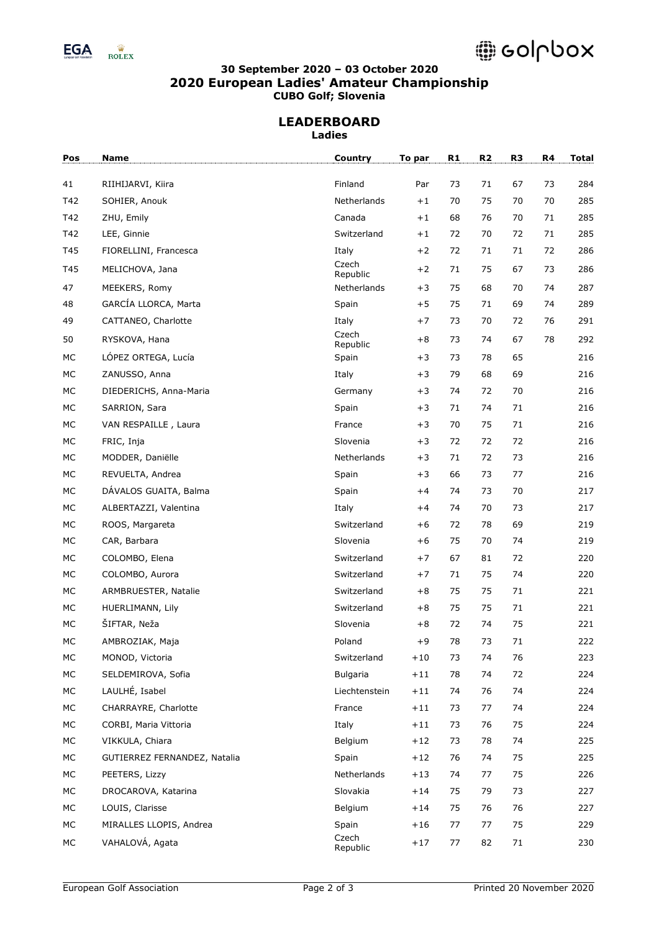

## **30 September 2020 – 03 October 2020 2020 European Ladies' Amateur Championship CUBO Golf; Slovenia**

#### **LEADERBOARD Ladies**

| Pos | <b>Name</b>                  | Country           | To par | R1 | R <sub>2</sub> | R <sub>3</sub> | R4 | <b>Total</b> |
|-----|------------------------------|-------------------|--------|----|----------------|----------------|----|--------------|
| 41  | RIIHIJARVI, Kiira            | Finland           | Par    | 73 | 71             | 67             | 73 | 284          |
| T42 | SOHIER, Anouk                | Netherlands       | $+1$   | 70 | 75             | 70             | 70 | 285          |
| T42 | ZHU, Emily                   | Canada            | $+1$   | 68 | 76             | 70             | 71 | 285          |
| T42 | LEE, Ginnie                  | Switzerland       | $+1$   | 72 | 70             | 72             | 71 | 285          |
| T45 | FIORELLINI, Francesca        | Italy             | $+2$   | 72 | 71             | 71             | 72 | 286          |
| T45 | MELICHOVA, Jana              | Czech<br>Republic | $+2$   | 71 | 75             | 67             | 73 | 286          |
| 47  | MEEKERS, Romy                | Netherlands       | $+3$   | 75 | 68             | 70             | 74 | 287          |
| 48  | GARCÍA LLORCA, Marta         | Spain             | $+5$   | 75 | 71             | 69             | 74 | 289          |
| 49  | CATTANEO, Charlotte          | Italy             | $+7$   | 73 | 70             | 72             | 76 | 291          |
| 50  | RYSKOVA, Hana                | Czech<br>Republic | $+8$   | 73 | 74             | 67             | 78 | 292          |
| MC  | LÓPEZ ORTEGA, Lucía          | Spain             | $+3$   | 73 | 78             | 65             |    | 216          |
| МC  | ZANUSSO, Anna                | Italy             | $+3$   | 79 | 68             | 69             |    | 216          |
| MC  | DIEDERICHS, Anna-Maria       | Germany           | $+3$   | 74 | 72             | 70             |    | 216          |
| MC  | SARRION, Sara                | Spain             | $+3$   | 71 | 74             | 71             |    | 216          |
| МC  | VAN RESPAILLE, Laura         | France            | $+3$   | 70 | 75             | 71             |    | 216          |
| МC  | FRIC, Inja                   | Slovenia          | $+3$   | 72 | 72             | 72             |    | 216          |
| MC  | MODDER, Daniëlle             | Netherlands       | $+3$   | 71 | 72             | 73             |    | 216          |
| MC  | REVUELTA, Andrea             | Spain             | $+3$   | 66 | 73             | 77             |    | 216          |
| MC  | DÁVALOS GUAITA, Balma        | Spain             | $+4$   | 74 | 73             | 70             |    | 217          |
| МC  | ALBERTAZZI, Valentina        | Italy             | $+4$   | 74 | 70             | 73             |    | 217          |
| MC  | ROOS, Margareta              | Switzerland       | $+6$   | 72 | 78             | 69             |    | 219          |
| MC  | CAR, Barbara                 | Slovenia          | $+6$   | 75 | 70             | 74             |    | 219          |
| MC  | COLOMBO, Elena               | Switzerland       | $+7$   | 67 | 81             | 72             |    | 220          |
| МC  | COLOMBO, Aurora              | Switzerland       | $+7$   | 71 | 75             | 74             |    | 220          |
| MC  | ARMBRUESTER, Natalie         | Switzerland       | $+8$   | 75 | 75             | 71             |    | 221          |
| MC  | HUERLIMANN, Lily             | Switzerland       | $+8$   | 75 | 75             | 71             |    | 221          |
| МC  | ŠIFTAR, Neža                 | Slovenia          | $+8$   | 72 | 74             | 75             |    | 221          |
| MC  | AMBROZIAK, Maja              | Poland            | $+9$   | 78 | 73             | 71             |    | 222          |
| MC  | MONOD, Victoria              | Switzerland       | $+10$  | 73 | 74             | 76             |    | 223          |
| МC  | SELDEMIROVA, Sofia           | Bulgaria          | $+11$  | 78 | 74             | 72             |    | 224          |
| МC  | LAULHÉ, Isabel               | Liechtenstein     | $+11$  | 74 | 76             | 74             |    | 224          |
| МC  | CHARRAYRE, Charlotte         | France            | $+11$  | 73 | 77             | 74             |    | 224          |
| МC  | CORBI, Maria Vittoria        | Italy             | $+11$  | 73 | 76             | 75             |    | 224          |
| МC  | VIKKULA, Chiara              | Belgium           | $+12$  | 73 | 78             | 74             |    | 225          |
| МC  | GUTIERREZ FERNANDEZ, Natalia | Spain             | $+12$  | 76 | 74             | 75             |    | 225          |
| МC  | PEETERS, Lizzy               | Netherlands       | $+13$  | 74 | 77             | 75             |    | 226          |
| МC  | DROCAROVA, Katarina          | Slovakia          | $+14$  | 75 | 79             | 73             |    | 227          |
| МC  | LOUIS, Clarisse              | Belgium           | $+14$  | 75 | 76             | 76             |    | 227          |
| МC  | MIRALLES LLOPIS, Andrea      | Spain             | $+16$  | 77 | 77             | 75             |    | 229          |
| МC  | VAHALOVÁ, Agata              | Czech<br>Republic | $+17$  | 77 | 82             | 71             |    | 230          |